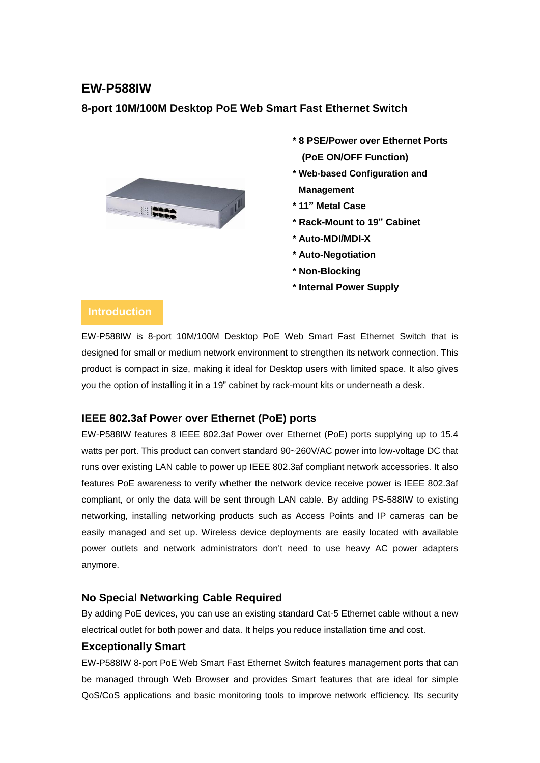# **EW-P588IW**

### **8-port 10M/100M Desktop PoE Web Smart Fast Ethernet Switch**



- **\* 8 PSE/Power over Ethernet Ports (PoE ON/OFF Function)**
- **\* Web-based Configuration and Management**
- **\* 11" Metal Case**
- **\* Rack-Mount to 19" Cabinet**
- **\* Auto-MDI/MDI-X**
- **\* Auto-Negotiation**
- **\* Non-Blocking**
- **\* Internal Power Supply**

## **Introduction**

EW-P588IW is 8-port 10M/100M Desktop PoE Web Smart Fast Ethernet Switch that is designed for small or medium network environment to strengthen its network connection. This product is compact in size, making it ideal for Desktop users with limited space. It also gives you the option of installing it in a 19" cabinet by rack-mount kits or underneath a desk.

#### **IEEE 802.3af Power over Ethernet (PoE) ports**

EW-P588IW features 8 IEEE 802.3af Power over Ethernet (PoE) ports supplying up to 15.4 watts per port. This product can convert standard 90~260V/AC power into low-voltage DC that runs over existing LAN cable to power up IEEE 802.3af compliant network accessories. It also features PoE awareness to verify whether the network device receive power is IEEE 802.3af compliant, or only the data will be sent through LAN cable. By adding PS-588IW to existing networking, installing networking products such as Access Points and IP cameras can be easily managed and set up. Wireless device deployments are easily located with available power outlets and network administrators don't need to use heavy AC power adapters anymore.

#### **No Special Networking Cable Required**

By adding PoE devices, you can use an existing standard Cat-5 Ethernet cable without a new electrical outlet for both power and data. It helps you reduce installation time and cost.

#### **Exceptionally Smart**

EW-P588IW 8-port PoE Web Smart Fast Ethernet Switch features management ports that can be managed through Web Browser and provides Smart features that are ideal for simple QoS/CoS applications and basic monitoring tools to improve network efficiency. Its security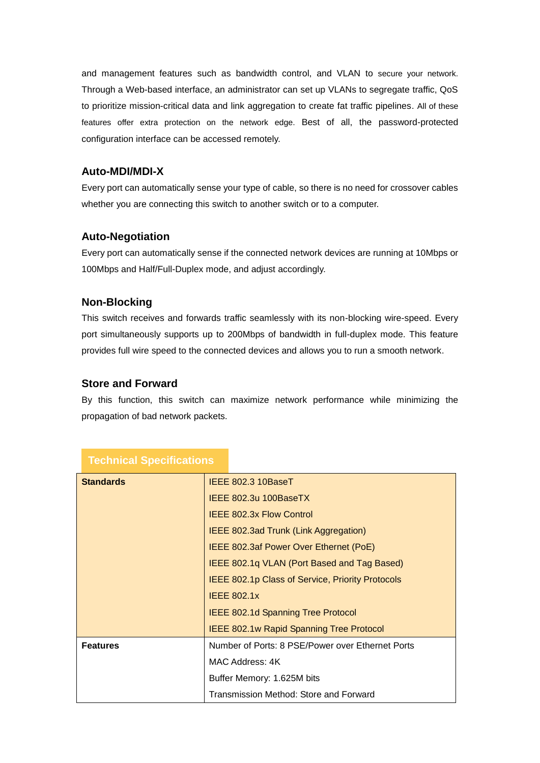and management features such as bandwidth control, and VLAN to secure your network. Through a Web-based interface, an administrator can set up VLANs to segregate traffic, QoS to prioritize mission-critical data and link aggregation to create fat traffic pipelines. All of these features offer extra protection on the network edge. Best of all, the password-protected configuration interface can be accessed remotely.

#### **Auto-MDI/MDI-X**

Every port can automatically sense your type of cable, so there is no need for crossover cables whether you are connecting this switch to another switch or to a computer.

#### **Auto-Negotiation**

Every port can automatically sense if the connected network devices are running at 10Mbps or 100Mbps and Half/Full-Duplex mode, and adjust accordingly.

#### **Non-Blocking**

This switch receives and forwards traffic seamlessly with its non-blocking wire-speed. Every port simultaneously supports up to 200Mbps of bandwidth in full-duplex mode. This feature provides full wire speed to the connected devices and allows you to run a smooth network.

#### **Store and Forward**

By this function, this switch can maximize network performance while minimizing the propagation of bad network packets.

| <b>Standards</b> | IEEE 802.3 10BaseT                                      |
|------------------|---------------------------------------------------------|
|                  | IEEE 802.3u 100BaseTX                                   |
|                  | <b>IEEE 802.3x Flow Control</b>                         |
|                  | IEEE 802.3ad Trunk (Link Aggregation)                   |
|                  | IEEE 802.3af Power Over Ethernet (PoE)                  |
|                  | IEEE 802.1q VLAN (Port Based and Tag Based)             |
|                  | <b>IEEE 802.1p Class of Service, Priority Protocols</b> |
|                  | <b>IEEE 802.1x</b>                                      |
|                  | <b>IEEE 802.1d Spanning Tree Protocol</b>               |
|                  | <b>IEEE 802.1w Rapid Spanning Tree Protocol</b>         |
| <b>Features</b>  | Number of Ports: 8 PSE/Power over Ethernet Ports        |
|                  | MAC Address: 4K                                         |
|                  | Buffer Memory: 1.625M bits                              |
|                  | Transmission Method: Store and Forward                  |

# **Technical Specifications**